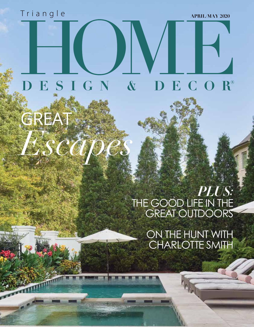Triangle **APRIL/MAY 2020**

GREAT

*Escapes*

## ESIGN DECOR®  $\alpha$  $\mathbf D$

## *PLUS:* THE GOOD LIFE IN THE GREAT OUTDOORS

ON THE HUNT WITH CHARLOTTE SMITH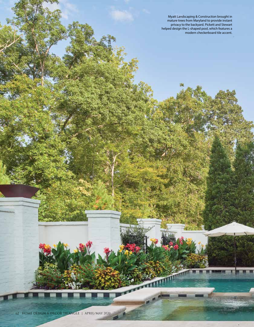Myatt Landscaping & Construction brought in mature trees from Maryland to provide instant privacy to the backyard. Pickett and Stewart helped design the L-shaped pool, which features a modern checkerboard tile accent.

**REPORTED**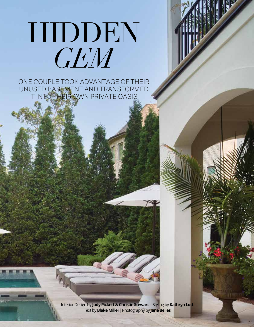## HIDDEN *GEM*

ONE COUPLE TOOK ADVANTAGE OF THEIR UNUSED BASEMENT AND TRANSFORMED IT INTO THEIR OWN PRIVATE OASIS.

> APRIL/MAY 2020 | HOME DESIGN & DECOR Interior Design by **Judy Pickett & Christie Stewart** | Styling by **Kathryn Lott**  Text by **Blake Miller**| Photography by **Jane Beiles**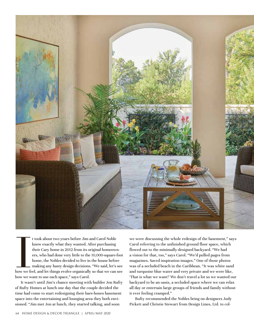

I<br>Abow we fe<br>how we w t took about two years before Jim and Carol Noble knew exactly what they wanted. After purchasing their Cary home in 2012 from its original homeowners, who had done very little to the 10,000-square-foot home, the Nobles decided to live in the house before making any hasty design decisions. "We said, let's see how we feel, and let things evolve organically so that we can see how we want to use each space," says Carol.

It wasn't until Jim's chance meeting with builder Jon Rufty of Rufty Homes at lunch one day that the couple decided the time had come to start redesigning their bare-bones basement space into the entertaining and lounging area they both envisioned. "Jim met Jon at lunch, they started talking, and soon

we were discussing the whole redesign of the basement," says Carol referring to the unfinished ground floor space, which flowed out to the minimally-designed backyard. "We had a vision for that, too," says Carol. "We'd pulled pages from magazines. Saved inspiration images." One of those photos was of a secluded beach in the Caribbean. "It was white sand and turquoise blue water and very private and we were like, 'That is what we want!' We don't travel a lot so we wanted our backyard to be an oasis, a secluded space where we can relax all day or entertain large groups of friends and family without it ever feeling cramped."

Rufty recommended the Nobles bring on designers Judy Pickett and Christie Stewart from Design Lines, Ltd. to col-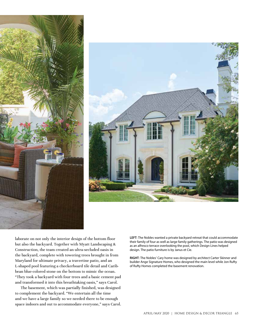



laborate on not only the interior design of the bottom floor but also the backyard. Together with Myatt Landscaping & Construction, the team created an ultra-secluded oasis in the backyard, complete with towering trees brought in from Maryland for ultimate privacy, a travertine patio, and an L-shaped pool featuring a checkerboard tile detail and Caribbean blue-colored stone on the bottom to mimic the ocean. "They took a backyard with four trees and a basic cement pad and transformed it into this breathtaking oasis," says Carol.

The basement, which was partially finished, was designed to complement the backyard. "We entertain all the time and we have a large family so we needed there to be enough space indoors and out to accommodate everyone," says Carol. **LEFT**: The Nobles wanted a private backyard retreat that could accommodate their family of four as well as large family gatherings. The patio was designed as an alfresco terrace overlooking the pool, which Design Lines helped design. The patio furniture is by Janus et Cie.

**RIGHT**: The Nobles' Cary home was designed by architect Carter Skinner and builder Ange Signature Homes, who designed the main level while Jon Rufty of Rufty Homes completed the basement renovation.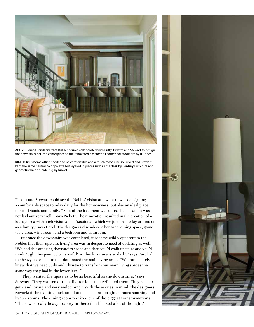

**ABOVE**: Laura Grandlienard of ROCKin'teriors collaborated with Rufty, Pickett, and Stewart to design the downstairs bar, the centerpiece to the renovated basement. Leather bar stools are by R. Jones.

**RIGHT:** Jim's home office needed to be comfortable and a touch masculine so Pickett and Stewart kept the same neutral color palette but layered in pieces such as the desk by Century Furniture and geometric hair-on-hide rug by Kravet.

Pickett and Stewart could see the Nobles' vision and went to work designing a comfortable space to relax daily for the homeowners, but also an ideal place to host friends and family. "A lot of the basement was unused space and it was not laid out very well," says Pickett. The renovation resulted in the creation of a lounge area with a television and a "sectional, which we just love to lay around on as a family," says Carol. The designers also added a bar area, dining space, game table area, wine room, and a bedroom and bathroom.

But once the downstairs was completed, it became wildly apparent to the Nobles that their upstairs living area was in desperate need of updating as well. "We had this amazing downstairs space and then you'd walk upstairs and you'd think, 'Ugh, this paint color is awful' or 'this furniture is so dark'," says Carol of the heavy color palette that dominated the main living areas. "We immediately knew that we need Judy and Christie to transform our main living spaces the same way they had in the lower level."

"They wanted the upstairs to be as beautiful as the downstairs," says Stewart. "They wanted a fresh, lighter look that reflected them. They're energetic and loving and very welcoming." With those cues in mind, the designers reworked the existing dark and dated spaces into brighter, more soothing and livable rooms. The dining room received one of the biggest transformations. "There was really heavy drapery in there that blocked a lot of the light,"

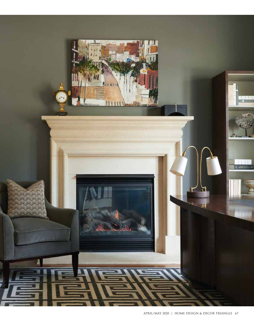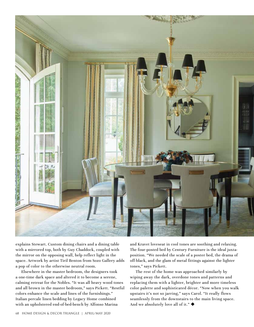

explains Stewart. Custom dining chairs and a dining table with a mirrored top, both by Guy Chaddock, coupled with the mirror on the opposing wall, help reflect light in the space. Artwork by artist Tiril Benton from Sozo Gallery adds a pop of color to the otherwise neutral room.

Elsewhere in the master bedroom, the designers took a one-time dark space and altered it to become a serene, calming retreat for the Nobles. "It was all heavy wood tones and all brown in the master bedroom," says Pickett. "Restful colors enhance the scale and lines of the furnishings." Italian percale linen bedding by Legacy Home combined with an upholstered end-of-bed-bench by Alfonso Marina

and Kravet loveseat in cool tones are soothing and relaxing. The four-posted bed by Century Furniture is the ideal juxtaposition. "We needed the scale of a poster bed, the drama of off-black, and the glam of metal fittings against the lighter tones," says Pickett.

The rest of the home was approached similarly by wiping away the dark, overdone tones and patterns and replacing them with a lighter, brighter and more timeless color palette and sophisticated décor. "Now when you walk upstairs it's not so jarring," says Carol. "It really flows seamlessly from the downstairs to the main living space. And we absolutely love all of it."  $\blacklozenge$